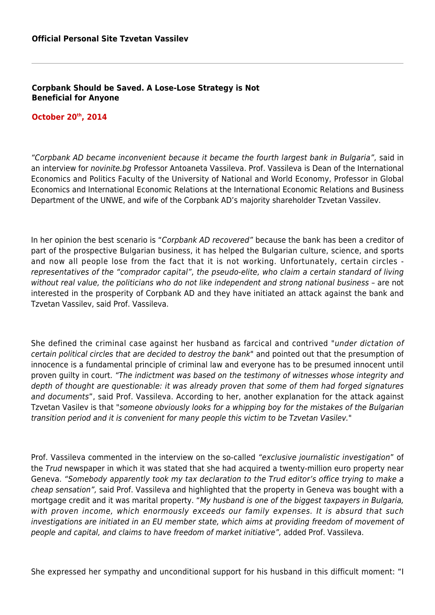## **Corpbank Should be Saved. A Lose-Lose Strategy is Not Beneficial for Anyone**

## **October 20th, 2014**

"Corpbank AD became inconvenient because it became the fourth largest bank in Bulgaria", said in an interview for novinite.bg Professor Antoaneta Vassileva. Prof. Vassileva is Dean of the International Economics and Politics Faculty of the University of National and World Economy, Professor in Global Economics and International Economic Relations at the International Economic Relations and Business Department of the UNWE, and wife of the Corpbank AD's majority shareholder Tzvetan Vassilev.

In her opinion the best scenario is "Corpbank AD recovered" because the bank has been a creditor of part of the prospective Bulgarian business, it has helped the Bulgarian culture, science, and sports and now all people lose from the fact that it is not working. Unfortunately, certain circles representatives of the "comprador capital", the pseudo-elite, who claim a certain standard of living without real value, the politicians who do not like independent and strong national business – are not interested in the prosperity of Corpbank AD and they have initiated an attack against the bank and Tzvetan Vassilev, said Prof. Vassileva.

She defined the criminal case against her husband as farcical and contrived "under dictation of certain political circles that are decided to destroy the bank" and pointed out that the presumption of innocence is a fundamental principle of criminal law and everyone has to be presumed innocent until proven guilty in court. "The indictment was based on the testimony of witnesses whose integrity and depth of thought are questionable: it was already proven that some of them had forged signatures and documents", said Prof. Vassileva. According to her, another explanation for the attack against Tzvetan Vasilev is that "someone obviously looks for a whipping boy for the mistakes of the Bulgarian transition period and it is convenient for many people this victim to be Tzvetan Vasilev."

Prof. Vassileva commented in the interview on the so-called "exclusive journalistic investigation" of the Trud newspaper in which it was stated that she had acquired a twenty-million euro property near Geneva. "Somebody apparently took my tax declaration to the Trud editor's office trying to make a cheap sensation", said Prof. Vassileva and highlighted that the property in Geneva was bought with a mortgage credit and it was marital property. "My husband is one of the biggest taxpayers in Bulgaria, with proven income, which enormously exceeds our family expenses. It is absurd that such investigations are initiated in an EU member state, which aims at providing freedom of movement of people and capital, and claims to have freedom of market initiative", added Prof. Vassileva.

She expressed her sympathy and unconditional support for his husband in this difficult moment: "I